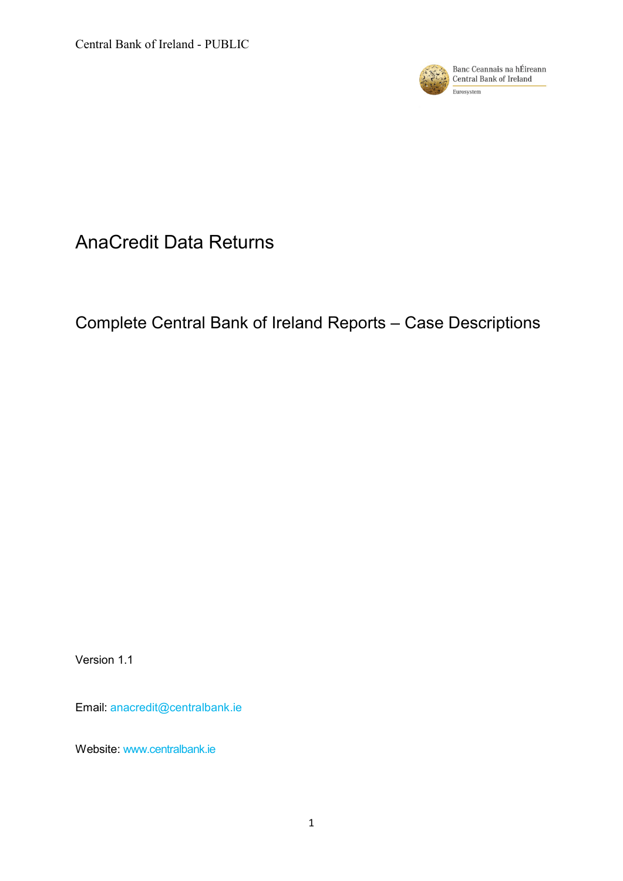

# AnaCredit Data Returns

# Complete Central Bank of Ireland Reports – Case Descriptions

Version 1.1

Email: [anacredit@centralbank.ie](mailto:anacredit@centralbank.ie)

Website: [www.centralbank.ie](http://www.centralbank.ie/)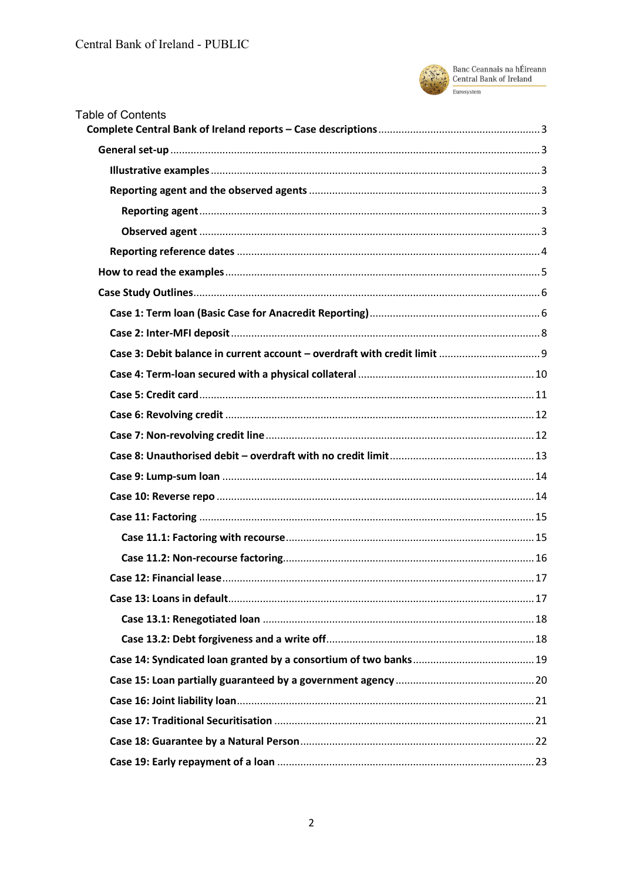

Banc Ceannais na hÉireann<br>Central Bank of Ireland Eurosystem

| <b>Table of Contents</b> |  |
|--------------------------|--|
|                          |  |
|                          |  |
|                          |  |
|                          |  |
|                          |  |
|                          |  |
|                          |  |
|                          |  |
|                          |  |
|                          |  |
|                          |  |
|                          |  |
|                          |  |
|                          |  |
|                          |  |
|                          |  |
|                          |  |
|                          |  |
|                          |  |
|                          |  |
|                          |  |
|                          |  |
|                          |  |
|                          |  |
|                          |  |
|                          |  |
|                          |  |
|                          |  |
|                          |  |
|                          |  |
|                          |  |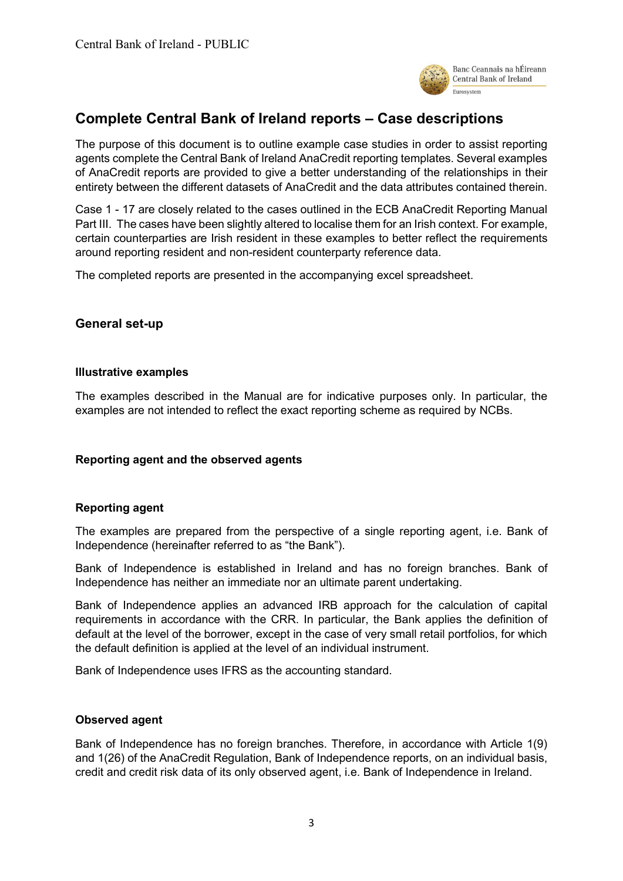

# <span id="page-2-0"></span>**Complete Central Bank of Ireland reports – Case descriptions**

The purpose of this document is to outline example case studies in order to assist reporting agents complete the Central Bank of Ireland AnaCredit reporting templates. Several examples of AnaCredit reports are provided to give a better understanding of the relationships in their entirety between the different datasets of AnaCredit and the data attributes contained therein.

Case 1 - 17 are closely related to the cases outlined in the ECB AnaCredit Reporting Manual Part III. The cases have been slightly altered to localise them for an Irish context. For example, certain counterparties are Irish resident in these examples to better reflect the requirements around reporting resident and non-resident counterparty reference data.

<span id="page-2-1"></span>The completed reports are presented in the accompanying excel spreadsheet.

## **General set-up**

#### <span id="page-2-2"></span>**Illustrative examples**

The examples described in the Manual are for indicative purposes only. In particular, the examples are not intended to reflect the exact reporting scheme as required by NCBs.

#### <span id="page-2-4"></span><span id="page-2-3"></span>**Reporting agent and the observed agents**

#### **Reporting agent**

The examples are prepared from the perspective of a single reporting agent, i.e. Bank of Independence (hereinafter referred to as "the Bank").

Bank of Independence is established in Ireland and has no foreign branches. Bank of Independence has neither an immediate nor an ultimate parent undertaking.

Bank of Independence applies an advanced IRB approach for the calculation of capital requirements in accordance with the CRR. In particular, the Bank applies the definition of default at the level of the borrower, except in the case of very small retail portfolios, for which the default definition is applied at the level of an individual instrument.

<span id="page-2-5"></span>Bank of Independence uses IFRS as the accounting standard.

#### **Observed agent**

Bank of Independence has no foreign branches. Therefore, in accordance with Article 1(9) and 1(26) of the AnaCredit Regulation, Bank of Independence reports, on an individual basis, credit and credit risk data of its only observed agent, i.e. Bank of Independence in Ireland.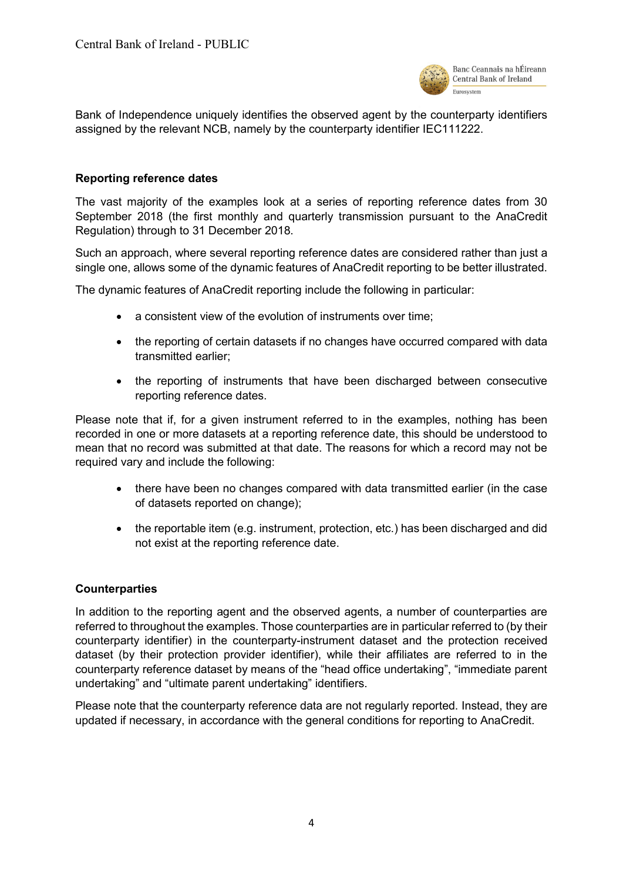

Bank of Independence uniquely identifies the observed agent by the counterparty identifiers assigned by the relevant NCB, namely by the counterparty identifier IEC111222.

#### <span id="page-3-0"></span>**Reporting reference dates**

The vast majority of the examples look at a series of reporting reference dates from 30 September 2018 (the first monthly and quarterly transmission pursuant to the AnaCredit Regulation) through to 31 December 2018.

Such an approach, where several reporting reference dates are considered rather than just a single one, allows some of the dynamic features of AnaCredit reporting to be better illustrated.

The dynamic features of AnaCredit reporting include the following in particular:

- a consistent view of the evolution of instruments over time;
- the reporting of certain datasets if no changes have occurred compared with data transmitted earlier;
- the reporting of instruments that have been discharged between consecutive reporting reference dates.

Please note that if, for a given instrument referred to in the examples, nothing has been recorded in one or more datasets at a reporting reference date, this should be understood to mean that no record was submitted at that date. The reasons for which a record may not be required vary and include the following:

- there have been no changes compared with data transmitted earlier (in the case of datasets reported on change);
- the reportable item (e.g. instrument, protection, etc.) has been discharged and did not exist at the reporting reference date.

#### **Counterparties**

In addition to the reporting agent and the observed agents, a number of counterparties are referred to throughout the examples. Those counterparties are in particular referred to (by their counterparty identifier) in the counterparty-instrument dataset and the protection received dataset (by their protection provider identifier), while their affiliates are referred to in the counterparty reference dataset by means of the "head office undertaking", "immediate parent undertaking" and "ultimate parent undertaking" identifiers.

Please note that the counterparty reference data are not regularly reported. Instead, they are updated if necessary, in accordance with the general conditions for reporting to AnaCredit.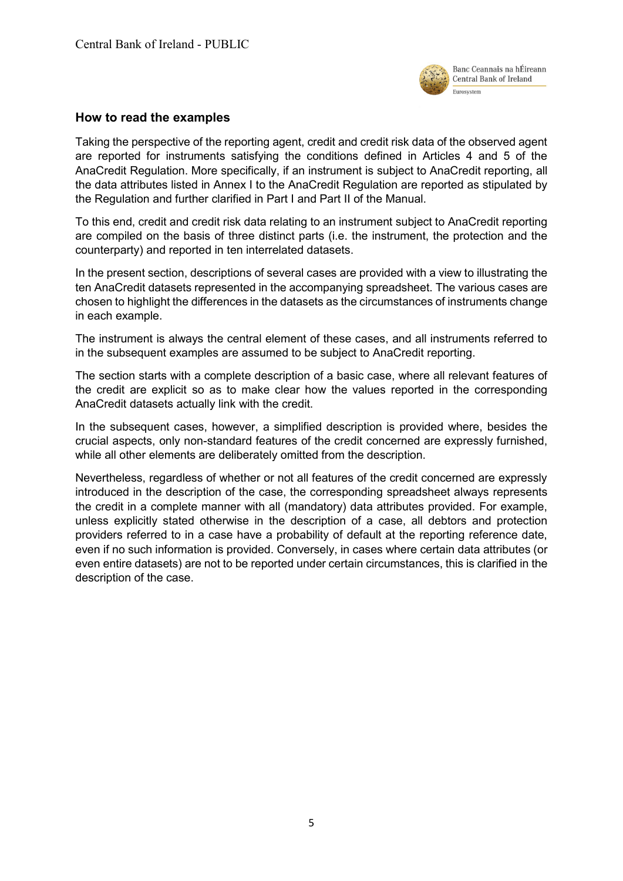

## <span id="page-4-0"></span>**How to read the examples**

Taking the perspective of the reporting agent, credit and credit risk data of the observed agent are reported for instruments satisfying the conditions defined in Articles 4 and 5 of the AnaCredit Regulation. More specifically, if an instrument is subject to AnaCredit reporting, all the data attributes listed in Annex I to the AnaCredit Regulation are reported as stipulated by the Regulation and further clarified in Part I and Part II of the Manual.

To this end, credit and credit risk data relating to an instrument subject to AnaCredit reporting are compiled on the basis of three distinct parts (i.e. the instrument, the protection and the counterparty) and reported in ten interrelated datasets.

In the present section, descriptions of several cases are provided with a view to illustrating the ten AnaCredit datasets represented in the accompanying spreadsheet. The various cases are chosen to highlight the differences in the datasets as the circumstances of instruments change in each example.

The instrument is always the central element of these cases, and all instruments referred to in the subsequent examples are assumed to be subject to AnaCredit reporting.

The section starts with a complete description of a basic case, where all relevant features of the credit are explicit so as to make clear how the values reported in the corresponding AnaCredit datasets actually link with the credit.

In the subsequent cases, however, a simplified description is provided where, besides the crucial aspects, only non-standard features of the credit concerned are expressly furnished, while all other elements are deliberately omitted from the description.

Nevertheless, regardless of whether or not all features of the credit concerned are expressly introduced in the description of the case, the corresponding spreadsheet always represents the credit in a complete manner with all (mandatory) data attributes provided. For example, unless explicitly stated otherwise in the description of a case, all debtors and protection providers referred to in a case have a probability of default at the reporting reference date, even if no such information is provided. Conversely, in cases where certain data attributes (or even entire datasets) are not to be reported under certain circumstances, this is clarified in the description of the case.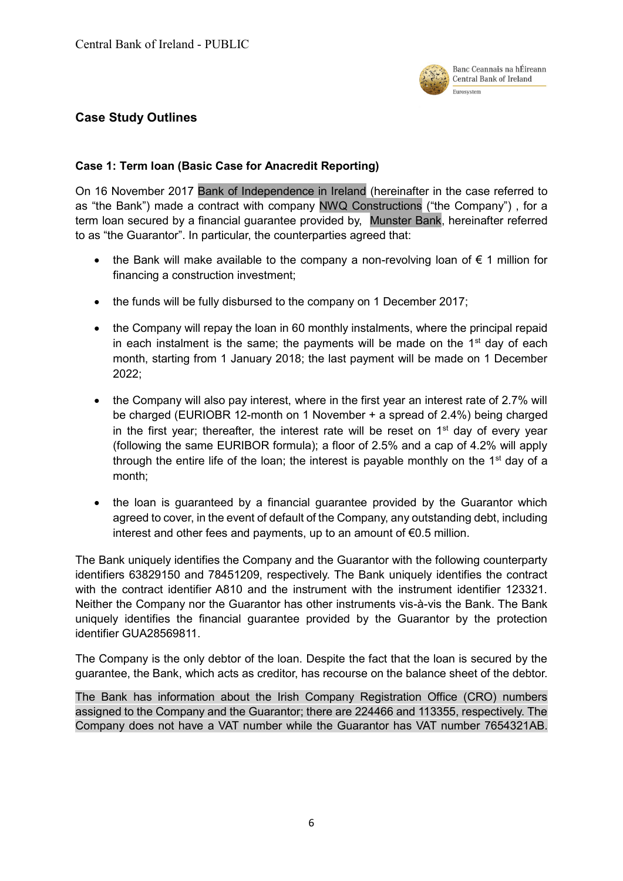

# <span id="page-5-0"></span>**Case Study Outlines**

## <span id="page-5-1"></span>**Case 1: Term loan (Basic Case for Anacredit Reporting)**

On 16 November 2017 Bank of Independence in Ireland (hereinafter in the case referred to as "the Bank") made a contract with company NWQ Constructions ("the Company") , for a term loan secured by a financial guarantee provided by, Munster Bank, hereinafter referred to as "the Guarantor". In particular, the counterparties agreed that:

- the Bank will make available to the company a non-revolving loan of  $\epsilon$  1 million for financing a construction investment;
- the funds will be fully disbursed to the company on 1 December 2017;
- the Company will repay the loan in 60 monthly instalments, where the principal repaid in each instalment is the same; the payments will be made on the  $1<sup>st</sup>$  day of each month, starting from 1 January 2018; the last payment will be made on 1 December 2022;
- the Company will also pay interest, where in the first year an interest rate of 2.7% will be charged (EURIOBR 12-month on 1 November + a spread of 2.4%) being charged in the first year; thereafter, the interest rate will be reset on  $1<sup>st</sup>$  day of every year (following the same EURIBOR formula); a floor of 2.5% and a cap of 4.2% will apply through the entire life of the loan; the interest is payable monthly on the  $1<sup>st</sup>$  day of a month;
- the loan is guaranteed by a financial guarantee provided by the Guarantor which agreed to cover, in the event of default of the Company, any outstanding debt, including interest and other fees and payments, up to an amount of €0.5 million.

The Bank uniquely identifies the Company and the Guarantor with the following counterparty identifiers 63829150 and 78451209, respectively. The Bank uniquely identifies the contract with the contract identifier A810 and the instrument with the instrument identifier 123321. Neither the Company nor the Guarantor has other instruments vis-à-vis the Bank. The Bank uniquely identifies the financial guarantee provided by the Guarantor by the protection identifier GUA28569811.

The Company is the only debtor of the loan. Despite the fact that the loan is secured by the guarantee, the Bank, which acts as creditor, has recourse on the balance sheet of the debtor.

The Bank has information about the Irish Company Registration Office (CRO) numbers assigned to the Company and the Guarantor; there are 224466 and 113355, respectively. The Company does not have a VAT number while the Guarantor has VAT number 7654321AB.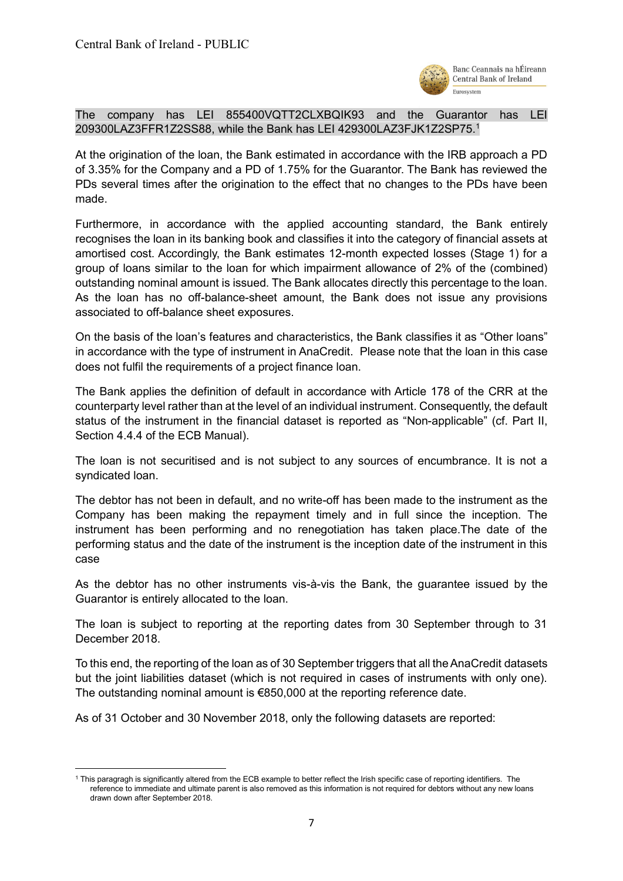

The company has LEI 855400VQTT2CLXBQIK93 and the Guarantor has LEI 209300LAZ3FFR1Z2SS88, while the Bank has LEI 429300LAZ3FJK1Z2SP75.<sup>1</sup>

At the origination of the loan, the Bank estimated in accordance with the IRB approach a PD of 3.35% for the Company and a PD of 1.75% for the Guarantor. The Bank has reviewed the PDs several times after the origination to the effect that no changes to the PDs have been made.

Furthermore, in accordance with the applied accounting standard, the Bank entirely recognises the loan in its banking book and classifies it into the category of financial assets at amortised cost. Accordingly, the Bank estimates 12-month expected losses (Stage 1) for a group of loans similar to the loan for which impairment allowance of 2% of the (combined) outstanding nominal amount is issued. The Bank allocates directly this percentage to the loan. As the loan has no off-balance-sheet amount, the Bank does not issue any provisions associated to off-balance sheet exposures.

On the basis of the loan's features and characteristics, the Bank classifies it as "Other loans" in accordance with the type of instrument in AnaCredit. Please note that the loan in this case does not fulfil the requirements of a project finance loan.

The Bank applies the definition of default in accordance with Article 178 of the CRR at the counterparty level rather than at the level of an individual instrument. Consequently, the default status of the instrument in the financial dataset is reported as "Non-applicable" (cf. Part II, Section 4.4.4 of the ECB Manual).

The loan is not securitised and is not subject to any sources of encumbrance. It is not a syndicated loan.

The debtor has not been in default, and no write-off has been made to the instrument as the Company has been making the repayment timely and in full since the inception. The instrument has been performing and no renegotiation has taken place.The date of the performing status and the date of the instrument is the inception date of the instrument in this case

As the debtor has no other instruments vis-à-vis the Bank, the guarantee issued by the Guarantor is entirely allocated to the loan.

The loan is subject to reporting at the reporting dates from 30 September through to 31 December 2018.

To this end, the reporting of the loan as of 30 September triggers that all the AnaCredit datasets but the joint liabilities dataset (which is not required in cases of instruments with only one). The outstanding nominal amount is €850,000 at the reporting reference date.

As of 31 October and 30 November 2018, only the following datasets are reported:

**<sup>.</sup>** <sup>1</sup> This paragragh is significantly altered from the ECB example to better reflect the Irish specific case of reporting identifiers. The reference to immediate and ultimate parent is also removed as this information is not required for debtors without any new loans drawn down after September 2018.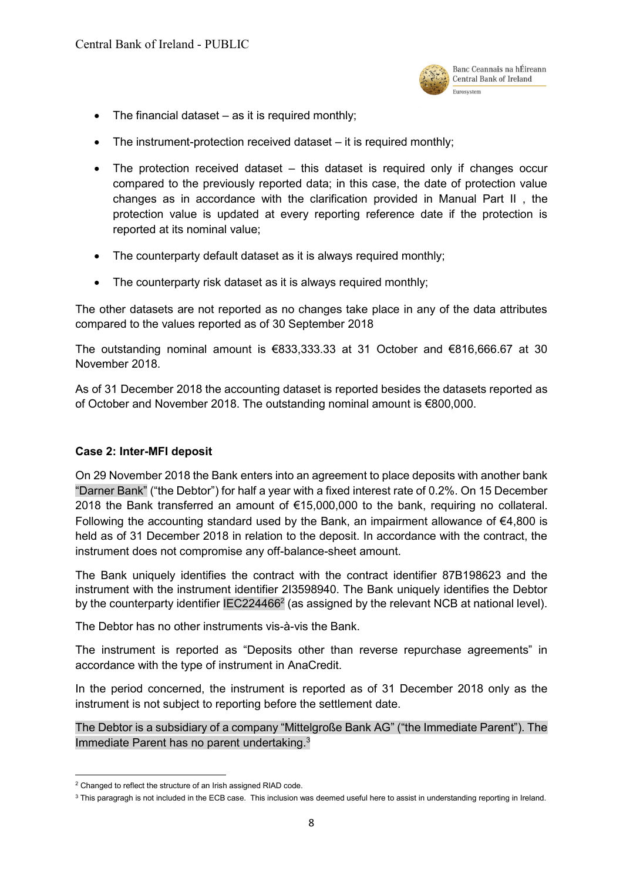

- $\bullet$  The financial dataset as it is required monthly;
- $\bullet$  The instrument-protection received dataset it is required monthly;
- The protection received dataset this dataset is required only if changes occur compared to the previously reported data; in this case, the date of protection value changes as in accordance with the clarification provided in Manual Part II , the protection value is updated at every reporting reference date if the protection is reported at its nominal value;
- The counterparty default dataset as it is always required monthly;
- The counterparty risk dataset as it is always required monthly;

The other datasets are not reported as no changes take place in any of the data attributes compared to the values reported as of 30 September 2018

The outstanding nominal amount is €833,333.33 at 31 October and €816,666.67 at 30 November 2018.

As of 31 December 2018 the accounting dataset is reported besides the datasets reported as of October and November 2018. The outstanding nominal amount is €800,000.

#### <span id="page-7-0"></span>**Case 2: Inter-MFI deposit**

On 29 November 2018 the Bank enters into an agreement to place deposits with another bank "Darner Bank" ("the Debtor") for half a year with a fixed interest rate of 0.2%. On 15 December 2018 the Bank transferred an amount of €15,000,000 to the bank, requiring no collateral. Following the accounting standard used by the Bank, an impairment allowance of €4,800 is held as of 31 December 2018 in relation to the deposit. In accordance with the contract, the instrument does not compromise any off-balance-sheet amount.

The Bank uniquely identifies the contract with the contract identifier 87B198623 and the instrument with the instrument identifier 2I3598940. The Bank uniquely identifies the Debtor by the counterparty identifier IEC224466<sup>2</sup> (as assigned by the relevant NCB at national level).

The Debtor has no other instruments vis-à-vis the Bank.

The instrument is reported as "Deposits other than reverse repurchase agreements" in accordance with the type of instrument in AnaCredit.

In the period concerned, the instrument is reported as of 31 December 2018 only as the instrument is not subject to reporting before the settlement date.

The Debtor is a subsidiary of a company "Mittelgroße Bank AG" ("the Immediate Parent"). The Immediate Parent has no parent undertaking.<sup>3</sup>

**.** 

<sup>2</sup> Changed to reflect the structure of an Irish assigned RIAD code.

<sup>&</sup>lt;sup>3</sup> This paragragh is not included in the ECB case. This inclusion was deemed useful here to assist in understanding reporting in Ireland.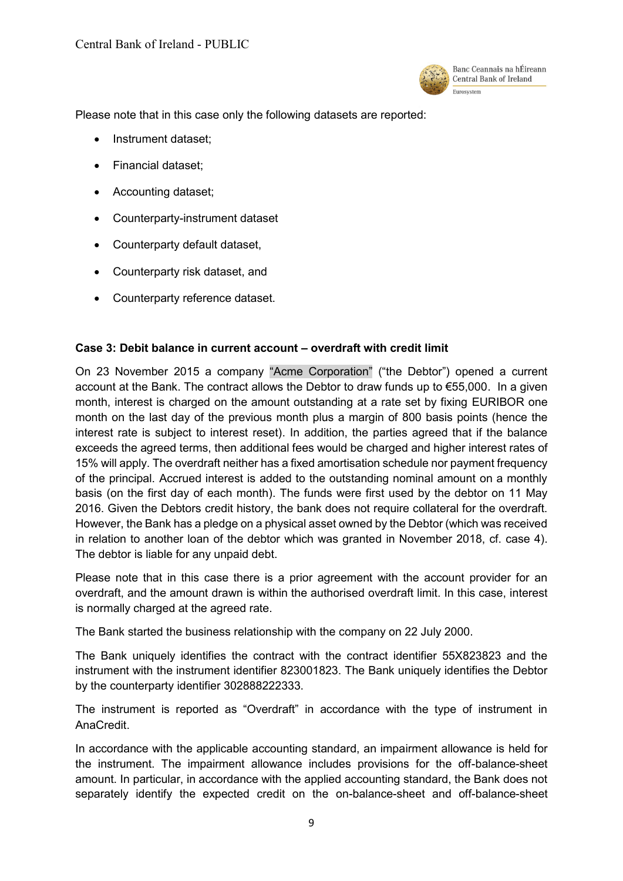

Please note that in this case only the following datasets are reported:

- Instrument dataset;
- Financial dataset;
- Accounting dataset;
- Counterparty-instrument dataset
- Counterparty default dataset,
- Counterparty risk dataset, and
- Counterparty reference dataset.

#### <span id="page-8-0"></span>**Case 3: Debit balance in current account – overdraft with credit limit**

On 23 November 2015 a company "Acme Corporation" ("the Debtor") opened a current account at the Bank. The contract allows the Debtor to draw funds up to €55,000. In a given month, interest is charged on the amount outstanding at a rate set by fixing EURIBOR one month on the last day of the previous month plus a margin of 800 basis points (hence the interest rate is subject to interest reset). In addition, the parties agreed that if the balance exceeds the agreed terms, then additional fees would be charged and higher interest rates of 15% will apply. The overdraft neither has a fixed amortisation schedule nor payment frequency of the principal. Accrued interest is added to the outstanding nominal amount on a monthly basis (on the first day of each month). The funds were first used by the debtor on 11 May 2016. Given the Debtors credit history, the bank does not require collateral for the overdraft. However, the Bank has a pledge on a physical asset owned by the Debtor (which was received in relation to another loan of the debtor which was granted in November 2018, cf. case 4). The debtor is liable for any unpaid debt.

Please note that in this case there is a prior agreement with the account provider for an overdraft, and the amount drawn is within the authorised overdraft limit. In this case, interest is normally charged at the agreed rate.

The Bank started the business relationship with the company on 22 July 2000.

The Bank uniquely identifies the contract with the contract identifier 55X823823 and the instrument with the instrument identifier 823001823. The Bank uniquely identifies the Debtor by the counterparty identifier 302888222333.

The instrument is reported as "Overdraft" in accordance with the type of instrument in AnaCredit.

In accordance with the applicable accounting standard, an impairment allowance is held for the instrument. The impairment allowance includes provisions for the off-balance-sheet amount. In particular, in accordance with the applied accounting standard, the Bank does not separately identify the expected credit on the on-balance-sheet and off-balance-sheet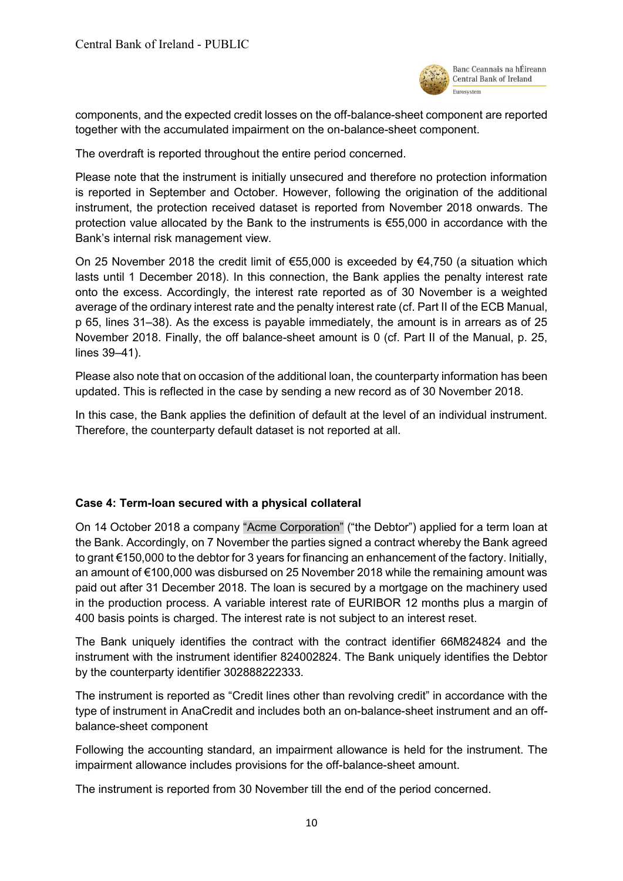

components, and the expected credit losses on the off-balance-sheet component are reported together with the accumulated impairment on the on-balance-sheet component.

The overdraft is reported throughout the entire period concerned.

Please note that the instrument is initially unsecured and therefore no protection information is reported in September and October. However, following the origination of the additional instrument, the protection received dataset is reported from November 2018 onwards. The protection value allocated by the Bank to the instruments is €55,000 in accordance with the Bank's internal risk management view.

On 25 November 2018 the credit limit of  $\epsilon$ 55,000 is exceeded by  $\epsilon$ 4,750 (a situation which lasts until 1 December 2018). In this connection, the Bank applies the penalty interest rate onto the excess. Accordingly, the interest rate reported as of 30 November is a weighted average of the ordinary interest rate and the penalty interest rate (cf. Part II of the ECB Manual, p 65, lines 31–38). As the excess is payable immediately, the amount is in arrears as of 25 November 2018. Finally, the off balance-sheet amount is 0 (cf. Part II of the Manual, p. 25, lines 39–41).

Please also note that on occasion of the additional loan, the counterparty information has been updated. This is reflected in the case by sending a new record as of 30 November 2018.

In this case, the Bank applies the definition of default at the level of an individual instrument. Therefore, the counterparty default dataset is not reported at all.

## <span id="page-9-0"></span>**Case 4: Term-loan secured with a physical collateral**

On 14 October 2018 a company "Acme Corporation" ("the Debtor") applied for a term loan at the Bank. Accordingly, on 7 November the parties signed a contract whereby the Bank agreed to grant €150,000 to the debtor for 3 years for financing an enhancement of the factory. Initially, an amount of €100,000 was disbursed on 25 November 2018 while the remaining amount was paid out after 31 December 2018. The loan is secured by a mortgage on the machinery used in the production process. A variable interest rate of EURIBOR 12 months plus a margin of 400 basis points is charged. The interest rate is not subject to an interest reset.

The Bank uniquely identifies the contract with the contract identifier 66M824824 and the instrument with the instrument identifier 824002824. The Bank uniquely identifies the Debtor by the counterparty identifier 302888222333.

The instrument is reported as "Credit lines other than revolving credit" in accordance with the type of instrument in AnaCredit and includes both an on-balance-sheet instrument and an offbalance-sheet component

Following the accounting standard, an impairment allowance is held for the instrument. The impairment allowance includes provisions for the off-balance-sheet amount.

The instrument is reported from 30 November till the end of the period concerned.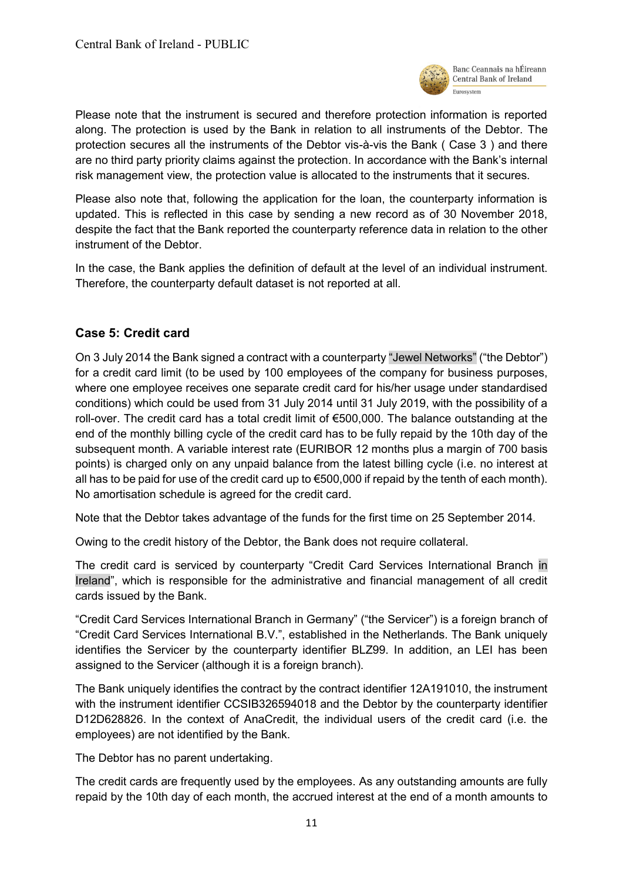

Please note that the instrument is secured and therefore protection information is reported along. The protection is used by the Bank in relation to all instruments of the Debtor. The protection secures all the instruments of the Debtor vis-à-vis the Bank ( Case 3 ) and there are no third party priority claims against the protection. In accordance with the Bank's internal risk management view, the protection value is allocated to the instruments that it secures.

Please also note that, following the application for the loan, the counterparty information is updated. This is reflected in this case by sending a new record as of 30 November 2018, despite the fact that the Bank reported the counterparty reference data in relation to the other instrument of the Debtor.

In the case, the Bank applies the definition of default at the level of an individual instrument. Therefore, the counterparty default dataset is not reported at all.

# <span id="page-10-0"></span>**Case 5: Credit card**

On 3 July 2014 the Bank signed a contract with a counterparty "Jewel Networks" ("the Debtor") for a credit card limit (to be used by 100 employees of the company for business purposes, where one employee receives one separate credit card for his/her usage under standardised conditions) which could be used from 31 July 2014 until 31 July 2019, with the possibility of a roll-over. The credit card has a total credit limit of €500,000. The balance outstanding at the end of the monthly billing cycle of the credit card has to be fully repaid by the 10th day of the subsequent month. A variable interest rate (EURIBOR 12 months plus a margin of 700 basis points) is charged only on any unpaid balance from the latest billing cycle (i.e. no interest at all has to be paid for use of the credit card up to  $\epsilon$ 500,000 if repaid by the tenth of each month). No amortisation schedule is agreed for the credit card.

Note that the Debtor takes advantage of the funds for the first time on 25 September 2014.

Owing to the credit history of the Debtor, the Bank does not require collateral.

The credit card is serviced by counterparty "Credit Card Services International Branch in Ireland", which is responsible for the administrative and financial management of all credit cards issued by the Bank.

"Credit Card Services International Branch in Germany" ("the Servicer") is a foreign branch of "Credit Card Services International B.V.", established in the Netherlands. The Bank uniquely identifies the Servicer by the counterparty identifier BLZ99. In addition, an LEI has been assigned to the Servicer (although it is a foreign branch).

The Bank uniquely identifies the contract by the contract identifier 12A191010, the instrument with the instrument identifier CCSIB326594018 and the Debtor by the counterparty identifier D12D628826. In the context of AnaCredit, the individual users of the credit card (i.e. the employees) are not identified by the Bank.

The Debtor has no parent undertaking.

The credit cards are frequently used by the employees. As any outstanding amounts are fully repaid by the 10th day of each month, the accrued interest at the end of a month amounts to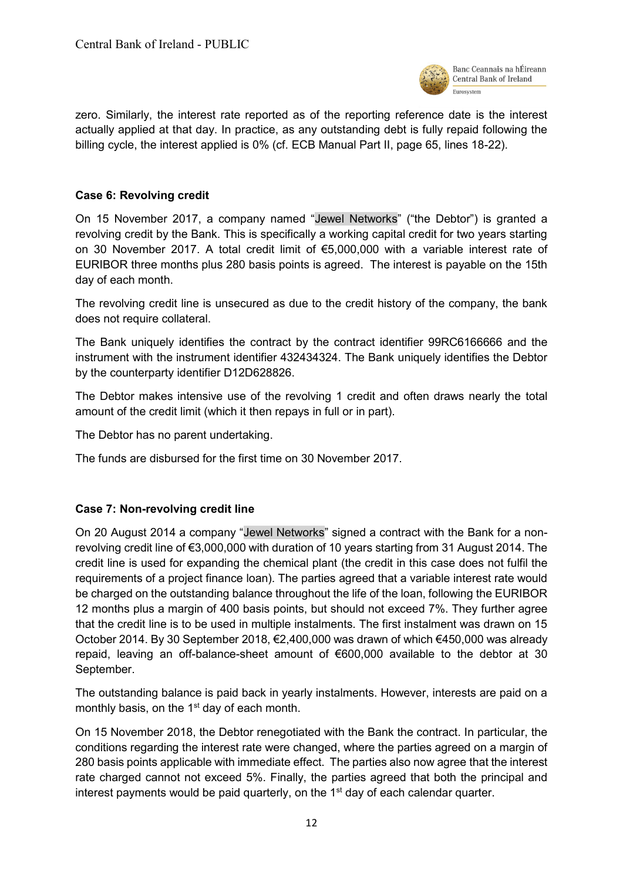

zero. Similarly, the interest rate reported as of the reporting reference date is the interest actually applied at that day. In practice, as any outstanding debt is fully repaid following the billing cycle, the interest applied is 0% (cf. ECB Manual Part II, page 65, lines 18-22).

# <span id="page-11-0"></span>**Case 6: Revolving credit**

On 15 November 2017, a company named "Jewel Networks" ("the Debtor") is granted a revolving credit by the Bank. This is specifically a working capital credit for two years starting on 30 November 2017. A total credit limit of €5,000,000 with a variable interest rate of EURIBOR three months plus 280 basis points is agreed. The interest is payable on the 15th day of each month.

The revolving credit line is unsecured as due to the credit history of the company, the bank does not require collateral.

The Bank uniquely identifies the contract by the contract identifier 99RC6166666 and the instrument with the instrument identifier 432434324. The Bank uniquely identifies the Debtor by the counterparty identifier D12D628826.

The Debtor makes intensive use of the revolving 1 credit and often draws nearly the total amount of the credit limit (which it then repays in full or in part).

The Debtor has no parent undertaking.

<span id="page-11-1"></span>The funds are disbursed for the first time on 30 November 2017.

## **Case 7: Non-revolving credit line**

On 20 August 2014 a company "Jewel Networks" signed a contract with the Bank for a nonrevolving credit line of €3,000,000 with duration of 10 years starting from 31 August 2014. The credit line is used for expanding the chemical plant (the credit in this case does not fulfil the requirements of a project finance loan). The parties agreed that a variable interest rate would be charged on the outstanding balance throughout the life of the loan, following the EURIBOR 12 months plus a margin of 400 basis points, but should not exceed 7%. They further agree that the credit line is to be used in multiple instalments. The first instalment was drawn on 15 October 2014. By 30 September 2018, €2,400,000 was drawn of which €450,000 was already repaid, leaving an off-balance-sheet amount of €600,000 available to the debtor at 30 September.

The outstanding balance is paid back in yearly instalments. However, interests are paid on a monthly basis, on the 1<sup>st</sup> day of each month.

On 15 November 2018, the Debtor renegotiated with the Bank the contract. In particular, the conditions regarding the interest rate were changed, where the parties agreed on a margin of 280 basis points applicable with immediate effect. The parties also now agree that the interest rate charged cannot not exceed 5%. Finally, the parties agreed that both the principal and interest payments would be paid quarterly, on the  $1<sup>st</sup>$  day of each calendar quarter.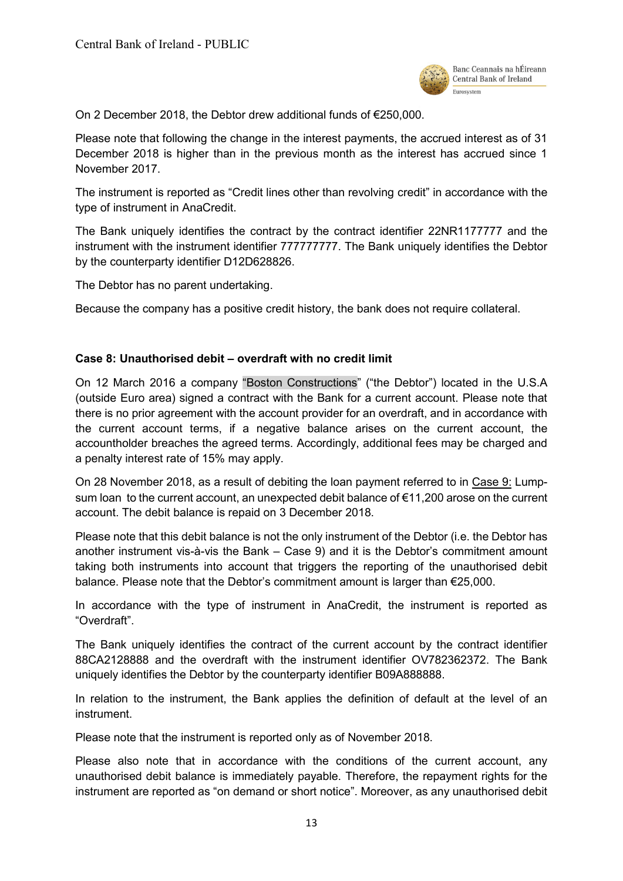

On 2 December 2018, the Debtor drew additional funds of €250,000.

Please note that following the change in the interest payments, the accrued interest as of 31 December 2018 is higher than in the previous month as the interest has accrued since 1 November 2017.

The instrument is reported as "Credit lines other than revolving credit" in accordance with the type of instrument in AnaCredit.

The Bank uniquely identifies the contract by the contract identifier 22NR1177777 and the instrument with the instrument identifier 777777777. The Bank uniquely identifies the Debtor by the counterparty identifier D12D628826.

The Debtor has no parent undertaking.

<span id="page-12-0"></span>Because the company has a positive credit history, the bank does not require collateral.

## **Case 8: Unauthorised debit – overdraft with no credit limit**

On 12 March 2016 a company "Boston Constructions" ("the Debtor") located in the U.S.A (outside Euro area) signed a contract with the Bank for a current account. Please note that there is no prior agreement with the account provider for an overdraft, and in accordance with the current account terms, if a negative balance arises on the current account, the accountholder breaches the agreed terms. Accordingly, additional fees may be charged and a penalty interest rate of 15% may apply.

On 28 November 2018, as a result of debiting the loan payment referred to in [Case 9:](#page-13-0) Lump[sum loan](#page-13-0) to the current account, an unexpected debit balance of €11,200 arose on the current account. The debit balance is repaid on 3 December 2018.

Please note that this debit balance is not the only instrument of the Debtor (i.e. the Debtor has another instrument vis-à-vis the Bank – Case 9) and it is the Debtor's commitment amount taking both instruments into account that triggers the reporting of the unauthorised debit balance. Please note that the Debtor's commitment amount is larger than  $\epsilon$ 25,000.

In accordance with the type of instrument in AnaCredit, the instrument is reported as "Overdraft".

The Bank uniquely identifies the contract of the current account by the contract identifier 88CA2128888 and the overdraft with the instrument identifier OV782362372. The Bank uniquely identifies the Debtor by the counterparty identifier B09A888888.

In relation to the instrument, the Bank applies the definition of default at the level of an instrument.

Please note that the instrument is reported only as of November 2018.

Please also note that in accordance with the conditions of the current account, any unauthorised debit balance is immediately payable. Therefore, the repayment rights for the instrument are reported as "on demand or short notice". Moreover, as any unauthorised debit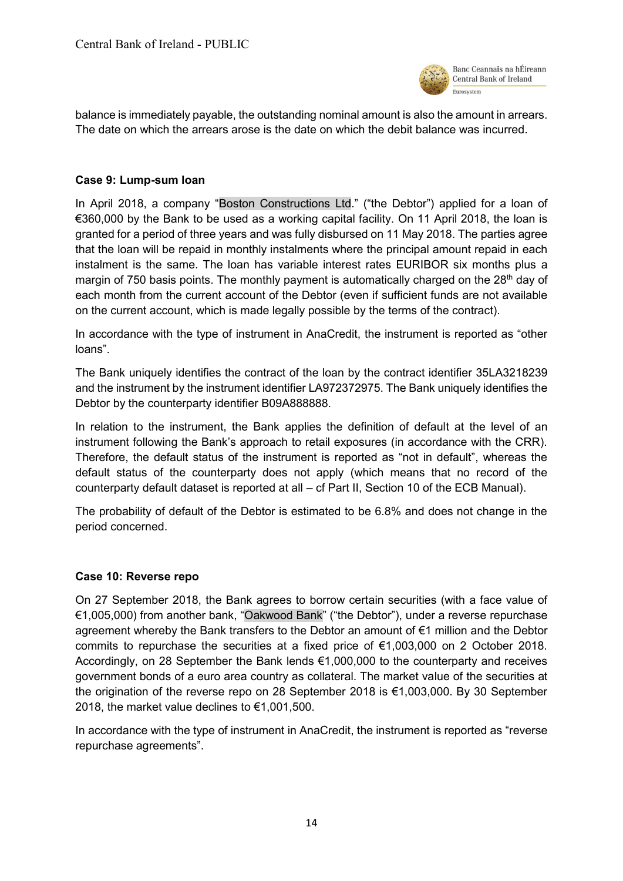

balance is immediately payable, the outstanding nominal amount is also the amount in arrears. The date on which the arrears arose is the date on which the debit balance was incurred.

#### <span id="page-13-0"></span>**Case 9: Lump-sum loan**

In April 2018, a company "Boston Constructions Ltd." ("the Debtor") applied for a loan of €360,000 by the Bank to be used as a working capital facility. On 11 April 2018, the loan is granted for a period of three years and was fully disbursed on 11 May 2018. The parties agree that the loan will be repaid in monthly instalments where the principal amount repaid in each instalment is the same. The loan has variable interest rates EURIBOR six months plus a margin of 750 basis points. The monthly payment is automatically charged on the 28<sup>th</sup> day of each month from the current account of the Debtor (even if sufficient funds are not available on the current account, which is made legally possible by the terms of the contract).

In accordance with the type of instrument in AnaCredit, the instrument is reported as "other loans".

The Bank uniquely identifies the contract of the loan by the contract identifier 35LA3218239 and the instrument by the instrument identifier LA972372975. The Bank uniquely identifies the Debtor by the counterparty identifier B09A888888.

In relation to the instrument, the Bank applies the definition of default at the level of an instrument following the Bank's approach to retail exposures (in accordance with the CRR). Therefore, the default status of the instrument is reported as "not in default", whereas the default status of the counterparty does not apply (which means that no record of the counterparty default dataset is reported at all – cf Part II, Section 10 of the ECB Manual).

The probability of default of the Debtor is estimated to be 6.8% and does not change in the period concerned.

#### <span id="page-13-1"></span>**Case 10: Reverse repo**

On 27 September 2018, the Bank agrees to borrow certain securities (with a face value of €1,005,000) from another bank, "Oakwood Bank" ("the Debtor"), under a reverse repurchase agreement whereby the Bank transfers to the Debtor an amount of €1 million and the Debtor commits to repurchase the securities at a fixed price of €1,003,000 on 2 October 2018. Accordingly, on 28 September the Bank lends €1,000,000 to the counterparty and receives government bonds of a euro area country as collateral. The market value of the securities at the origination of the reverse repo on 28 September 2018 is €1,003,000. By 30 September 2018, the market value declines to €1,001,500.

In accordance with the type of instrument in AnaCredit, the instrument is reported as "reverse repurchase agreements".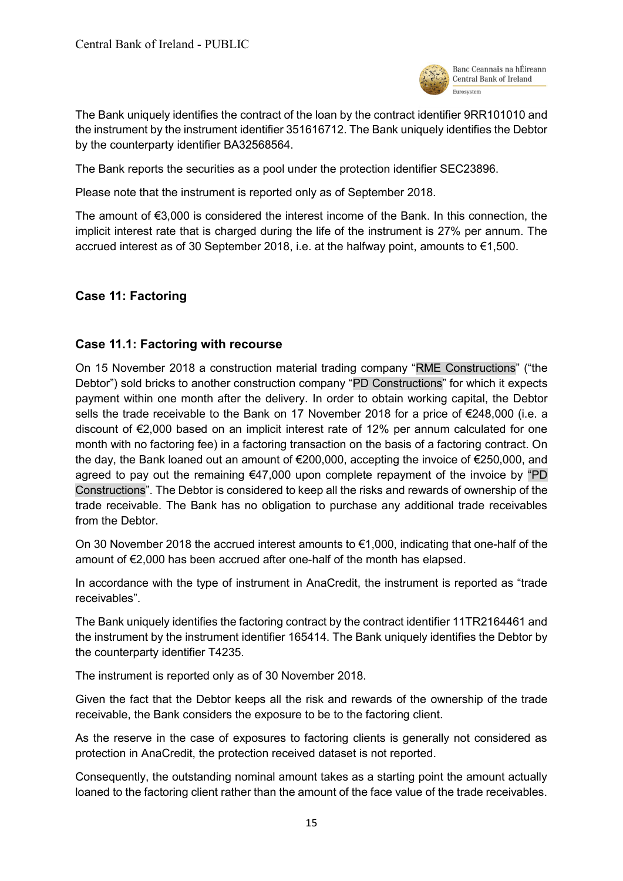

The Bank uniquely identifies the contract of the loan by the contract identifier 9RR101010 and the instrument by the instrument identifier 351616712. The Bank uniquely identifies the Debtor by the counterparty identifier BA32568564.

The Bank reports the securities as a pool under the protection identifier SEC23896.

Please note that the instrument is reported only as of September 2018.

The amount of €3,000 is considered the interest income of the Bank. In this connection, the implicit interest rate that is charged during the life of the instrument is 27% per annum. The accrued interest as of 30 September 2018, i.e. at the halfway point, amounts to €1,500.

# <span id="page-14-0"></span>**Case 11: Factoring**

# <span id="page-14-1"></span>**Case 11.1: Factoring with recourse**

On 15 November 2018 a construction material trading company "RME Constructions" ("the Debtor") sold bricks to another construction company "PD Constructions" for which it expects payment within one month after the delivery. In order to obtain working capital, the Debtor sells the trade receivable to the Bank on 17 November 2018 for a price of €248,000 (i.e. a discount of €2,000 based on an implicit interest rate of 12% per annum calculated for one month with no factoring fee) in a factoring transaction on the basis of a factoring contract. On the day, the Bank loaned out an amount of €200,000, accepting the invoice of €250,000, and agreed to pay out the remaining  $\epsilon$ 47,000 upon complete repayment of the invoice by "PD Constructions". The Debtor is considered to keep all the risks and rewards of ownership of the trade receivable. The Bank has no obligation to purchase any additional trade receivables from the Debtor.

On 30 November 2018 the accrued interest amounts to €1,000, indicating that one-half of the amount of €2,000 has been accrued after one-half of the month has elapsed.

In accordance with the type of instrument in AnaCredit, the instrument is reported as "trade receivables".

The Bank uniquely identifies the factoring contract by the contract identifier 11TR2164461 and the instrument by the instrument identifier 165414. The Bank uniquely identifies the Debtor by the counterparty identifier T4235.

The instrument is reported only as of 30 November 2018.

Given the fact that the Debtor keeps all the risk and rewards of the ownership of the trade receivable, the Bank considers the exposure to be to the factoring client.

As the reserve in the case of exposures to factoring clients is generally not considered as protection in AnaCredit, the protection received dataset is not reported.

Consequently, the outstanding nominal amount takes as a starting point the amount actually loaned to the factoring client rather than the amount of the face value of the trade receivables.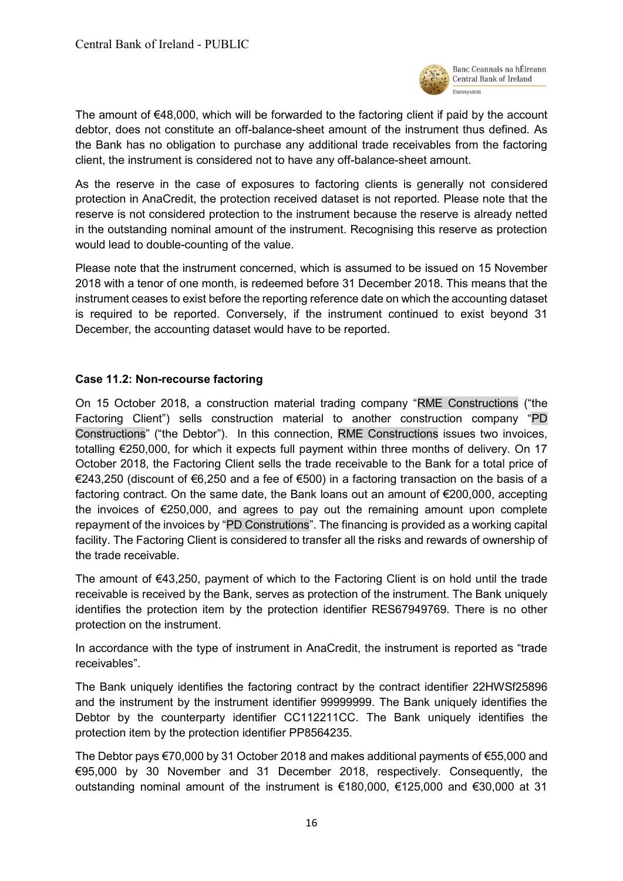

The amount of €48,000, which will be forwarded to the factoring client if paid by the account debtor, does not constitute an off-balance-sheet amount of the instrument thus defined. As the Bank has no obligation to purchase any additional trade receivables from the factoring client, the instrument is considered not to have any off-balance-sheet amount.

As the reserve in the case of exposures to factoring clients is generally not considered protection in AnaCredit, the protection received dataset is not reported. Please note that the reserve is not considered protection to the instrument because the reserve is already netted in the outstanding nominal amount of the instrument. Recognising this reserve as protection would lead to double-counting of the value.

Please note that the instrument concerned, which is assumed to be issued on 15 November 2018 with a tenor of one month, is redeemed before 31 December 2018. This means that the instrument ceases to exist before the reporting reference date on which the accounting dataset is required to be reported. Conversely, if the instrument continued to exist beyond 31 December, the accounting dataset would have to be reported.

## <span id="page-15-0"></span>**Case 11.2: Non-recourse factoring**

On 15 October 2018, a construction material trading company "RME Constructions ("the Factoring Client") sells construction material to another construction company "PD Constructions" ("the Debtor"). In this connection, RME Constructions issues two invoices, totalling €250,000, for which it expects full payment within three months of delivery. On 17 October 2018, the Factoring Client sells the trade receivable to the Bank for a total price of €243,250 (discount of €6,250 and a fee of €500) in a factoring transaction on the basis of a factoring contract. On the same date, the Bank loans out an amount of €200,000, accepting the invoices of €250,000, and agrees to pay out the remaining amount upon complete repayment of the invoices by "PD Construtions". The financing is provided as a working capital facility. The Factoring Client is considered to transfer all the risks and rewards of ownership of the trade receivable.

The amount of  $\epsilon$ 43,250, payment of which to the Factoring Client is on hold until the trade receivable is received by the Bank, serves as protection of the instrument. The Bank uniquely identifies the protection item by the protection identifier RES67949769. There is no other protection on the instrument.

In accordance with the type of instrument in AnaCredit, the instrument is reported as "trade receivables".

The Bank uniquely identifies the factoring contract by the contract identifier 22HWSf25896 and the instrument by the instrument identifier 99999999. The Bank uniquely identifies the Debtor by the counterparty identifier CC112211CC. The Bank uniquely identifies the protection item by the protection identifier PP8564235.

The Debtor pays €70,000 by 31 October 2018 and makes additional payments of €55,000 and €95,000 by 30 November and 31 December 2018, respectively. Consequently, the outstanding nominal amount of the instrument is €180,000, €125,000 and €30,000 at 31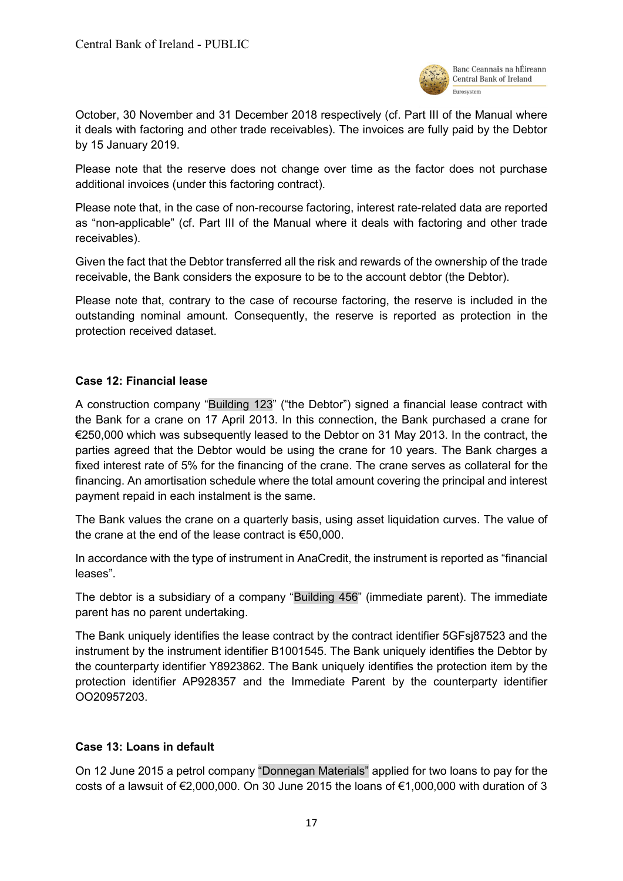

October, 30 November and 31 December 2018 respectively (cf. Part III of the Manual where it deals with factoring and other trade receivables). The invoices are fully paid by the Debtor by 15 January 2019.

Please note that the reserve does not change over time as the factor does not purchase additional invoices (under this factoring contract).

Please note that, in the case of non-recourse factoring, interest rate-related data are reported as "non-applicable" (cf. Part III of the Manual where it deals with factoring and other trade receivables).

Given the fact that the Debtor transferred all the risk and rewards of the ownership of the trade receivable, the Bank considers the exposure to be to the account debtor (the Debtor).

Please note that, contrary to the case of recourse factoring, the reserve is included in the outstanding nominal amount. Consequently, the reserve is reported as protection in the protection received dataset.

#### <span id="page-16-0"></span>**Case 12: Financial lease**

A construction company "Building 123" ("the Debtor") signed a financial lease contract with the Bank for a crane on 17 April 2013. In this connection, the Bank purchased a crane for €250,000 which was subsequently leased to the Debtor on 31 May 2013. In the contract, the parties agreed that the Debtor would be using the crane for 10 years. The Bank charges a fixed interest rate of 5% for the financing of the crane. The crane serves as collateral for the financing. An amortisation schedule where the total amount covering the principal and interest payment repaid in each instalment is the same.

The Bank values the crane on a quarterly basis, using asset liquidation curves. The value of the crane at the end of the lease contract is €50,000.

In accordance with the type of instrument in AnaCredit, the instrument is reported as "financial leases".

The debtor is a subsidiary of a company "Building 456" (immediate parent). The immediate parent has no parent undertaking.

The Bank uniquely identifies the lease contract by the contract identifier 5GFsj87523 and the instrument by the instrument identifier B1001545. The Bank uniquely identifies the Debtor by the counterparty identifier Y8923862. The Bank uniquely identifies the protection item by the protection identifier AP928357 and the Immediate Parent by the counterparty identifier OO20957203.

## <span id="page-16-1"></span>**Case 13: Loans in default**

On 12 June 2015 a petrol company "Donnegan Materials" applied for two loans to pay for the costs of a lawsuit of €2,000,000. On 30 June 2015 the loans of €1,000,000 with duration of 3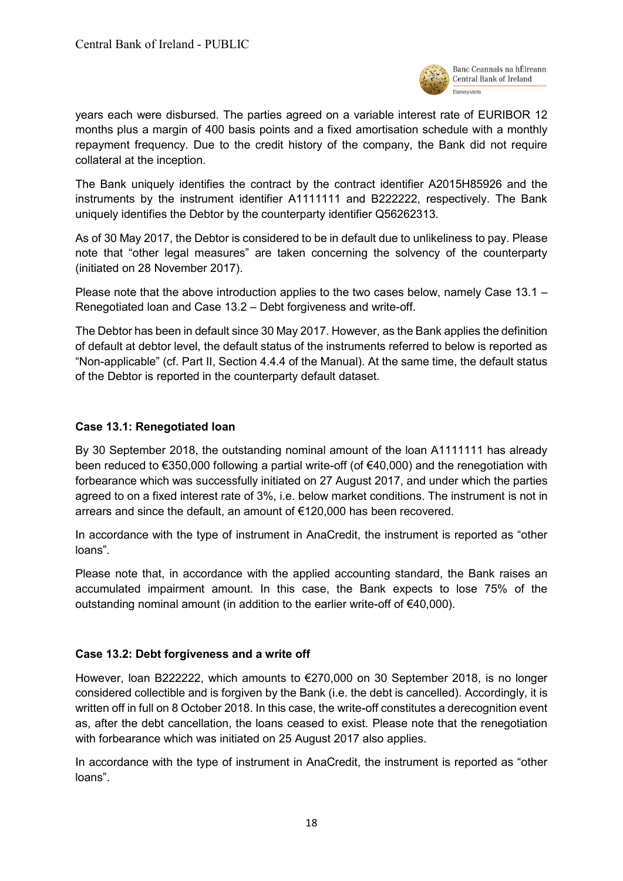

years each were disbursed. The parties agreed on a variable interest rate of EURIBOR 12 months plus a margin of 400 basis points and a fixed amortisation schedule with a monthly repayment frequency. Due to the credit history of the company, the Bank did not require collateral at the inception.

The Bank uniquely identifies the contract by the contract identifier A2015H85926 and the instruments by the instrument identifier A1111111 and B222222, respectively. The Bank uniquely identifies the Debtor by the counterparty identifier Q56262313.

As of 30 May 2017, the Debtor is considered to be in default due to unlikeliness to pay. Please note that "other legal measures" are taken concerning the solvency of the counterparty (initiated on 28 November 2017).

Please note that the above introduction applies to the two cases below, namely Case 13.1 – Renegotiated loan and Case 13.2 – Debt forgiveness and write-off.

The Debtor has been in default since 30 May 2017. However, as the Bank applies the definition of default at debtor level, the default status of the instruments referred to below is reported as "Non-applicable" (cf. Part II, Section 4.4.4 of the Manual). At the same time, the default status of the Debtor is reported in the counterparty default dataset.

## <span id="page-17-0"></span>**Case 13.1: Renegotiated loan**

By 30 September 2018, the outstanding nominal amount of the loan A1111111 has already been reduced to €350,000 following a partial write-off (of €40,000) and the renegotiation with forbearance which was successfully initiated on 27 August 2017, and under which the parties agreed to on a fixed interest rate of 3%, i.e. below market conditions. The instrument is not in arrears and since the default, an amount of €120,000 has been recovered.

In accordance with the type of instrument in AnaCredit, the instrument is reported as "other loans".

Please note that, in accordance with the applied accounting standard, the Bank raises an accumulated impairment amount. In this case, the Bank expects to lose 75% of the outstanding nominal amount (in addition to the earlier write-off of €40,000).

## <span id="page-17-1"></span>**Case 13.2: Debt forgiveness and a write off**

However, loan B222222, which amounts to €270,000 on 30 September 2018, is no longer considered collectible and is forgiven by the Bank (i.e. the debt is cancelled). Accordingly, it is written off in full on 8 October 2018. In this case, the write-off constitutes a derecognition event as, after the debt cancellation, the loans ceased to exist. Please note that the renegotiation with forbearance which was initiated on 25 August 2017 also applies.

In accordance with the type of instrument in AnaCredit, the instrument is reported as "other loans".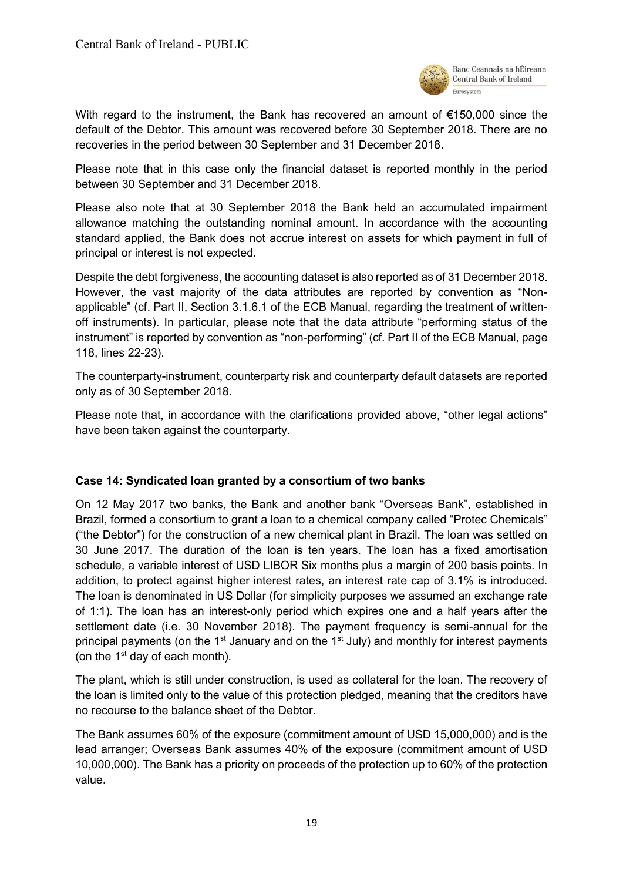

With regard to the instrument, the Bank has recovered an amount of €150,000 since the default of the Debtor. This amount was recovered before 30 September 2018. There are no recoveries in the period between 30 September and 31 December 2018.

Please note that in this case only the financial dataset is reported monthly in the period between 30 September and 31 December 2018.

Please also note that at 30 September 2018 the Bank held an accumulated impairment allowance matching the outstanding nominal amount. In accordance with the accounting standard applied, the Bank does not accrue interest on assets for which payment in full of principal or interest is not expected.

Despite the debt forgiveness, the accounting dataset is also reported as of 31 December 2018. However, the vast majority of the data attributes are reported by convention as "Nonapplicable" (cf. Part II, Section 3.1.6.1 of the ECB Manual, regarding the treatment of writtenoff instruments). In particular, please note that the data attribute "performing status of the instrument" is reported by convention as "non-performing" (cf. Part II of the ECB Manual, page 118, lines 22-23).

The counterparty-instrument, counterparty risk and counterparty default datasets are reported only as of 30 September 2018.

Please note that, in accordance with the clarifications provided above, "other legal actions" have been taken against the counterparty.

## <span id="page-18-0"></span>**Case 14: Syndicated loan granted by a consortium of two banks**

On 12 May 2017 two banks, the Bank and another bank "Overseas Bank", established in Brazil, formed a consortium to grant a loan to a chemical company called "Protec Chemicals" ("the Debtor") for the construction of a new chemical plant in Brazil. The loan was settled on 30 June 2017. The duration of the loan is ten years. The loan has a fixed amortisation schedule, a variable interest of USD LIBOR Six months plus a margin of 200 basis points. In addition, to protect against higher interest rates, an interest rate cap of 3.1% is introduced. The loan is denominated in US Dollar (for simplicity purposes we assumed an exchange rate of 1:1). The loan has an interest-only period which expires one and a half years after the settlement date (i.e. 30 November 2018). The payment frequency is semi-annual for the principal payments (on the 1<sup>st</sup> January and on the 1<sup>st</sup> July) and monthly for interest payments (on the  $1<sup>st</sup>$  day of each month).

The plant, which is still under construction, is used as collateral for the loan. The recovery of the loan is limited only to the value of this protection pledged, meaning that the creditors have no recourse to the balance sheet of the Debtor.

The Bank assumes 60% of the exposure (commitment amount of USD 15,000,000) and is the lead arranger; Overseas Bank assumes 40% of the exposure (commitment amount of USD 10,000,000). The Bank has a priority on proceeds of the protection up to 60% of the protection value.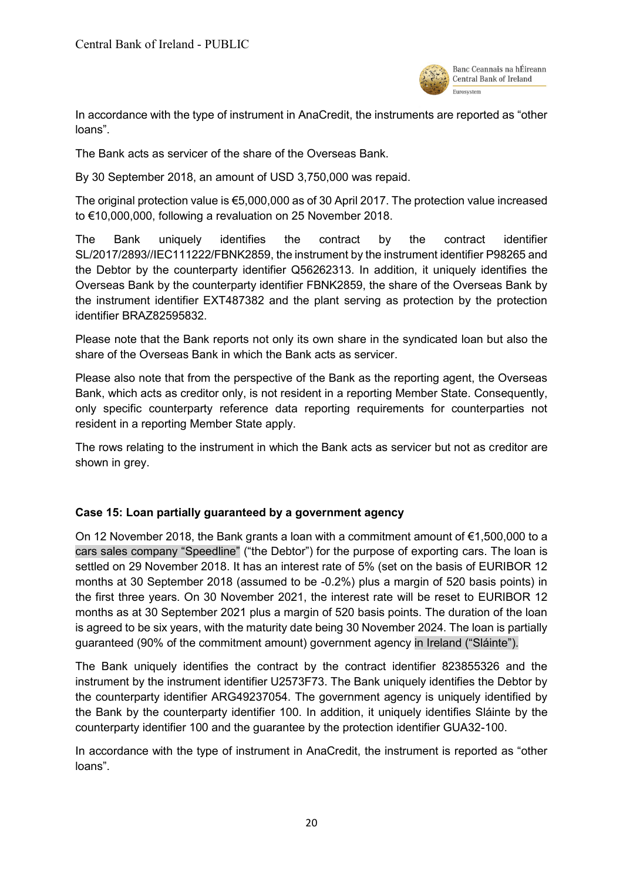

In accordance with the type of instrument in AnaCredit, the instruments are reported as "other loans".

The Bank acts as servicer of the share of the Overseas Bank.

By 30 September 2018, an amount of USD 3,750,000 was repaid.

The original protection value is €5,000,000 as of 30 April 2017. The protection value increased to €10,000,000, following a revaluation on 25 November 2018.

The Bank uniquely identifies the contract by the contract identifier SL/2017/2893//IEC111222/FBNK2859, the instrument by the instrument identifier P98265 and the Debtor by the counterparty identifier Q56262313. In addition, it uniquely identifies the Overseas Bank by the counterparty identifier FBNK2859, the share of the Overseas Bank by the instrument identifier EXT487382 and the plant serving as protection by the protection identifier BRAZ82595832.

Please note that the Bank reports not only its own share in the syndicated loan but also the share of the Overseas Bank in which the Bank acts as servicer.

Please also note that from the perspective of the Bank as the reporting agent, the Overseas Bank, which acts as creditor only, is not resident in a reporting Member State. Consequently, only specific counterparty reference data reporting requirements for counterparties not resident in a reporting Member State apply.

The rows relating to the instrument in which the Bank acts as servicer but not as creditor are shown in grey.

## <span id="page-19-0"></span>**Case 15: Loan partially guaranteed by a government agency**

On 12 November 2018, the Bank grants a loan with a commitment amount of €1,500,000 to a cars sales company "Speedline" ("the Debtor") for the purpose of exporting cars. The loan is settled on 29 November 2018. It has an interest rate of 5% (set on the basis of EURIBOR 12 months at 30 September 2018 (assumed to be -0.2%) plus a margin of 520 basis points) in the first three years. On 30 November 2021, the interest rate will be reset to EURIBOR 12 months as at 30 September 2021 plus a margin of 520 basis points. The duration of the loan is agreed to be six years, with the maturity date being 30 November 2024. The loan is partially guaranteed (90% of the commitment amount) government agency in Ireland ("Sláinte").

The Bank uniquely identifies the contract by the contract identifier 823855326 and the instrument by the instrument identifier U2573F73. The Bank uniquely identifies the Debtor by the counterparty identifier ARG49237054. The government agency is uniquely identified by the Bank by the counterparty identifier 100. In addition, it uniquely identifies Sláinte by the counterparty identifier 100 and the guarantee by the protection identifier GUA32-100.

In accordance with the type of instrument in AnaCredit, the instrument is reported as "other loans".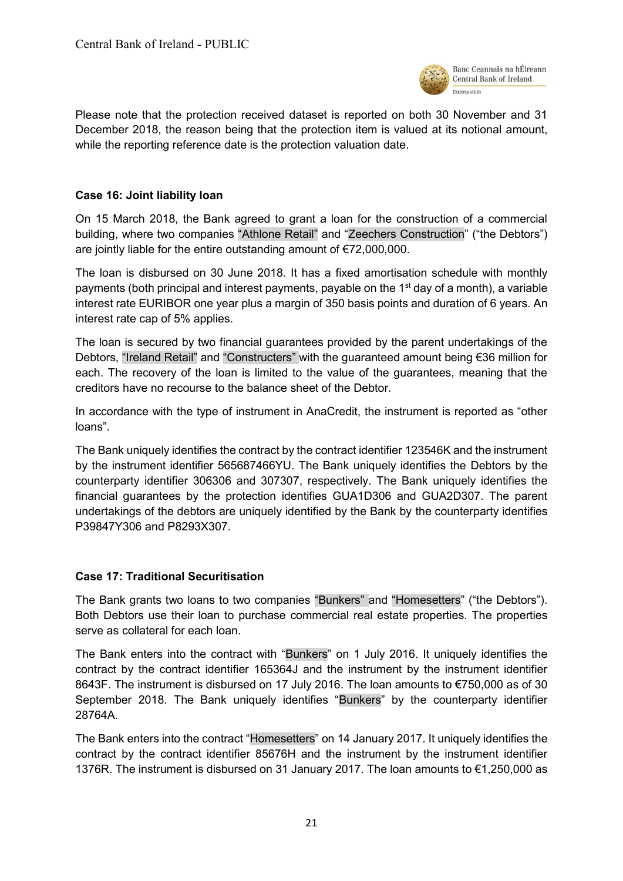

Please note that the protection received dataset is reported on both 30 November and 31 December 2018, the reason being that the protection item is valued at its notional amount, while the reporting reference date is the protection valuation date.

# <span id="page-20-0"></span>**Case 16: Joint liability loan**

On 15 March 2018, the Bank agreed to grant a loan for the construction of a commercial building, where two companies "Athlone Retail" and "Zeechers Construction" ("the Debtors") are jointly liable for the entire outstanding amount of €72,000,000.

The loan is disbursed on 30 June 2018. It has a fixed amortisation schedule with monthly payments (both principal and interest payments, payable on the  $1<sup>st</sup>$  day of a month), a variable interest rate EURIBOR one year plus a margin of 350 basis points and duration of 6 years. An interest rate cap of 5% applies.

The loan is secured by two financial guarantees provided by the parent undertakings of the Debtors, "Ireland Retail" and "Constructers" with the guaranteed amount being €36 million for each. The recovery of the loan is limited to the value of the guarantees, meaning that the creditors have no recourse to the balance sheet of the Debtor.

In accordance with the type of instrument in AnaCredit, the instrument is reported as "other loans".

The Bank uniquely identifies the contract by the contract identifier 123546K and the instrument by the instrument identifier 565687466YU. The Bank uniquely identifies the Debtors by the counterparty identifier 306306 and 307307, respectively. The Bank uniquely identifies the financial guarantees by the protection identifies GUA1D306 and GUA2D307. The parent undertakings of the debtors are uniquely identified by the Bank by the counterparty identifies P39847Y306 and P8293X307.

## <span id="page-20-1"></span>**Case 17: Traditional Securitisation**

The Bank grants two loans to two companies "Bunkers" and "Homesetters" ("the Debtors"). Both Debtors use their loan to purchase commercial real estate properties. The properties serve as collateral for each loan.

The Bank enters into the contract with "Bunkers" on 1 July 2016. It uniquely identifies the contract by the contract identifier 165364J and the instrument by the instrument identifier 8643F. The instrument is disbursed on 17 July 2016. The loan amounts to €750,000 as of 30 September 2018. The Bank uniquely identifies "Bunkers" by the counterparty identifier 28764A.

The Bank enters into the contract "Homesetters" on 14 January 2017. It uniquely identifies the contract by the contract identifier 85676H and the instrument by the instrument identifier 1376R. The instrument is disbursed on 31 January 2017. The loan amounts to €1,250,000 as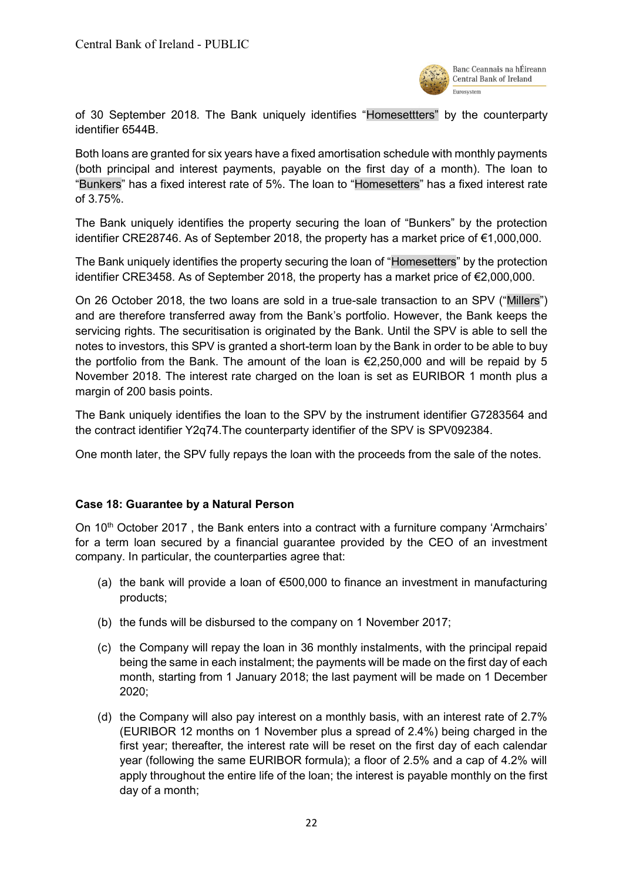

of 30 September 2018. The Bank uniquely identifies "Homesettters" by the counterparty identifier 6544B.

Both loans are granted for six years have a fixed amortisation schedule with monthly payments (both principal and interest payments, payable on the first day of a month). The loan to "Bunkers" has a fixed interest rate of 5%. The loan to "Homesetters" has a fixed interest rate of 3.75%.

The Bank uniquely identifies the property securing the loan of "Bunkers" by the protection identifier CRE28746. As of September 2018, the property has a market price of €1,000,000.

The Bank uniquely identifies the property securing the loan of "Homesetters" by the protection identifier CRE3458. As of September 2018, the property has a market price of €2,000,000.

On 26 October 2018, the two loans are sold in a true-sale transaction to an SPV ("Millers") and are therefore transferred away from the Bank's portfolio. However, the Bank keeps the servicing rights. The securitisation is originated by the Bank. Until the SPV is able to sell the notes to investors, this SPV is granted a short-term loan by the Bank in order to be able to buy the portfolio from the Bank. The amount of the loan is  $\epsilon$ 2,250,000 and will be repaid by 5 November 2018. The interest rate charged on the loan is set as EURIBOR 1 month plus a margin of 200 basis points.

The Bank uniquely identifies the loan to the SPV by the instrument identifier G7283564 and the contract identifier Y2q74.The counterparty identifier of the SPV is SPV092384.

<span id="page-21-0"></span>One month later, the SPV fully repays the loan with the proceeds from the sale of the notes.

#### **Case 18: Guarantee by a Natural Person**

On  $10<sup>th</sup>$  October 2017, the Bank enters into a contract with a furniture company 'Armchairs' for a term loan secured by a financial guarantee provided by the CEO of an investment company. In particular, the counterparties agree that:

- (a) the bank will provide a loan of  $€500,000$  to finance an investment in manufacturing products;
- (b) the funds will be disbursed to the company on 1 November 2017;
- (c) the Company will repay the loan in 36 monthly instalments, with the principal repaid being the same in each instalment; the payments will be made on the first day of each month, starting from 1 January 2018; the last payment will be made on 1 December 2020;
- (d) the Company will also pay interest on a monthly basis, with an interest rate of 2.7% (EURIBOR 12 months on 1 November plus a spread of 2.4%) being charged in the first year; thereafter, the interest rate will be reset on the first day of each calendar year (following the same EURIBOR formula); a floor of 2.5% and a cap of 4.2% will apply throughout the entire life of the loan; the interest is payable monthly on the first day of a month;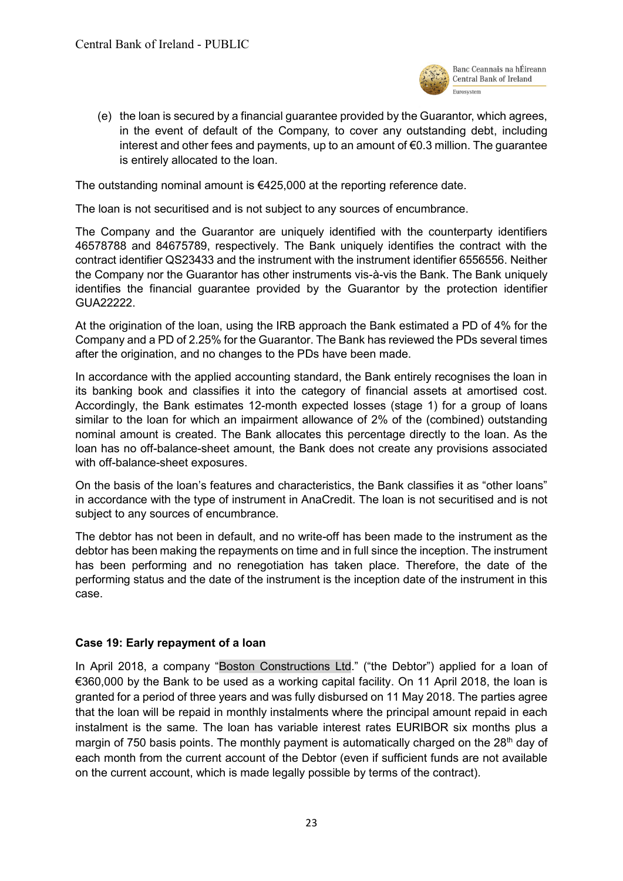

(e) the loan is secured by a financial guarantee provided by the Guarantor, which agrees, in the event of default of the Company, to cover any outstanding debt, including interest and other fees and payments, up to an amount of €0.3 million. The guarantee is entirely allocated to the loan.

The outstanding nominal amount is  $€425,000$  at the reporting reference date.

The loan is not securitised and is not subject to any sources of encumbrance.

The Company and the Guarantor are uniquely identified with the counterparty identifiers 46578788 and 84675789, respectively. The Bank uniquely identifies the contract with the contract identifier QS23433 and the instrument with the instrument identifier 6556556. Neither the Company nor the Guarantor has other instruments vis-à-vis the Bank. The Bank uniquely identifies the financial guarantee provided by the Guarantor by the protection identifier GUA22222.

At the origination of the loan, using the IRB approach the Bank estimated a PD of 4% for the Company and a PD of 2.25% for the Guarantor. The Bank has reviewed the PDs several times after the origination, and no changes to the PDs have been made.

In accordance with the applied accounting standard, the Bank entirely recognises the loan in its banking book and classifies it into the category of financial assets at amortised cost. Accordingly, the Bank estimates 12-month expected losses (stage 1) for a group of loans similar to the loan for which an impairment allowance of 2% of the (combined) outstanding nominal amount is created. The Bank allocates this percentage directly to the loan. As the loan has no off-balance-sheet amount, the Bank does not create any provisions associated with off-balance-sheet exposures.

On the basis of the loan's features and characteristics, the Bank classifies it as "other loans" in accordance with the type of instrument in AnaCredit. The loan is not securitised and is not subject to any sources of encumbrance.

The debtor has not been in default, and no write-off has been made to the instrument as the debtor has been making the repayments on time and in full since the inception. The instrument has been performing and no renegotiation has taken place. Therefore, the date of the performing status and the date of the instrument is the inception date of the instrument in this case.

#### <span id="page-22-0"></span>**Case 19: Early repayment of a loan**

In April 2018, a company "Boston Constructions Ltd." ("the Debtor") applied for a loan of €360,000 by the Bank to be used as a working capital facility. On 11 April 2018, the loan is granted for a period of three years and was fully disbursed on 11 May 2018. The parties agree that the loan will be repaid in monthly instalments where the principal amount repaid in each instalment is the same. The loan has variable interest rates EURIBOR six months plus a margin of 750 basis points. The monthly payment is automatically charged on the 28<sup>th</sup> day of each month from the current account of the Debtor (even if sufficient funds are not available on the current account, which is made legally possible by terms of the contract).